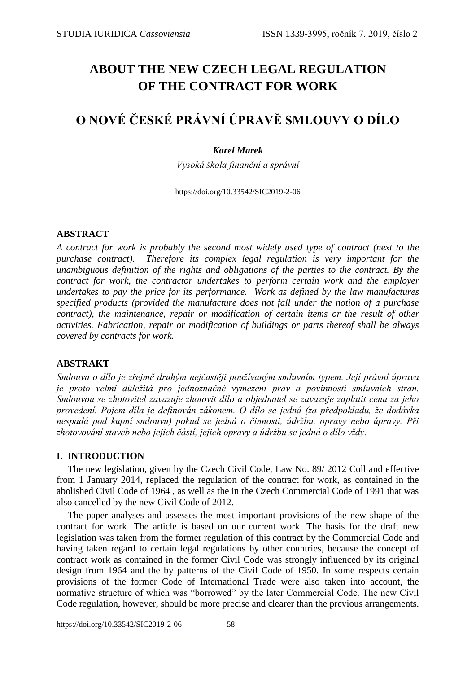# **ABOUT THE NEW CZECH LEGAL REGULATION OF THE CONTRACT FOR WORK**

# **O NOVÉ ČESKÉ PRÁVNÍ ÚPRAVĚ SMLOUVY O DÍLO**

# *Karel Marek*

*Vysoká škola finanční a správní*

https://doi.org/10.33542/SIC2019-2-06

## **ABSTRACT**

*A contract for work is probably the second most widely used type of contract (next to the purchase contract*). Therefore its complex legal regulation is very important for the *unambiguous definition of the rights and obligations of the parties to the contract. By the contract for work, the contractor undertakes to perform certain work and the employer undertakes to pay the price for its performance. Work as defined by the law manufactures specified products (provided the manufacture does not fall under the notion of a purchase contract), the maintenance, repair or modification of certain items or the result of other activities. Fabrication, repair or modification of buildings or parts thereof shall be always covered by contracts for work.*

## **ABSTRAKT**

*Smlouva o dílo je zřejmě druhým nejčastěji používaným smluvním typem. Její právní úprava je proto velmi důležitá pro jednoznačné vymezení práv a povinností smluvních stran. Smlouvou se zhotovitel zavazuje zhotovit dílo a objednatel se zavazuje zaplatit cenu za jeho provedení. Pojem díla je definován zákonem. O dílo se jedná (za předpokladu, že dodávka nespadá pod kupní smlouvu) pokud se jedná o činnosti, údržbu, opravy nebo úpravy. Při zhotovování staveb nebo jejich částí, jejich opravy a údržbu se jedná o dílo vždy.*

## **I. INTRODUCTION**

The new legislation, given by the Czech Civil Code, Law No. 89/ 2012 Coll and effective from 1 January 2014, replaced the regulation of the contract for work, as contained in the abolished Civil Code of 1964 , as well as the in the Czech Commercial Code of 1991 that was also cancelled by the new Civil Code of 2012.

 The paper analyses and assesses the most important provisions of the new shape of the contract for work. The article is based on our current work. The basis for the draft new legislation was taken from the former regulation of this contract by the Commercial Code and having taken regard to certain legal regulations by other countries, because the concept of contract work as contained in the former Civil Code was strongly influenced by its original design from 1964 and the by patterns of the Civil Code of 1950. In some respects certain provisions of the former Code of International Trade were also taken into account, the normative structure of which was "borrowed" by the later Commercial Code. The new Civil Code regulation, however, should be more precise and clearer than the previous arrangements.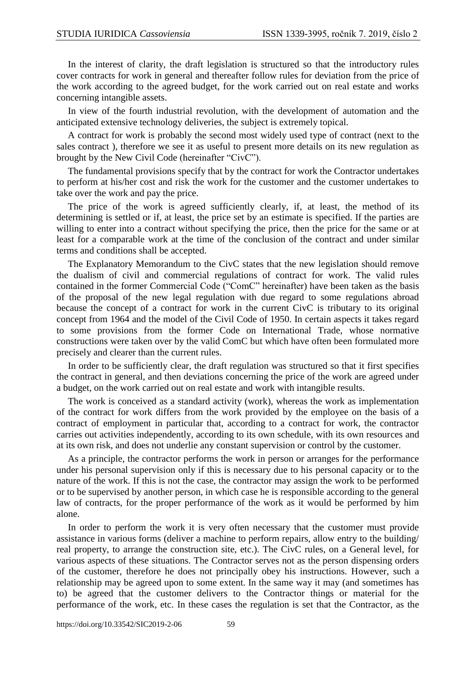In the interest of clarity, the draft legislation is structured so that the introductory rules cover contracts for work in general and thereafter follow rules for deviation from the price of the work according to the agreed budget, for the work carried out on real estate and works concerning intangible assets.

In view of the fourth industrial revolution, with the development of automation and the anticipated extensive technology deliveries, the subject is extremely topical.

A contract for work is probably the second most widely used type of contract (next to the sales contract ), therefore we see it as useful to present more details on its new regulation as brought by the New Civil Code (hereinafter "CivC").

The fundamental provisions specify that by the contract for work the Contractor undertakes to perform at his/her cost and risk the work for the customer and the customer undertakes to take over the work and pay the price.

The price of the work is agreed sufficiently clearly, if, at least, the method of its determining is settled or if, at least, the price set by an estimate is specified. If the parties are willing to enter into a contract without specifying the price, then the price for the same or at least for a comparable work at the time of the conclusion of the contract and under similar terms and conditions shall be accepted.

The Explanatory Memorandum to the CivC states that the new legislation should remove the dualism of civil and commercial regulations of contract for work. The valid rules contained in the former Commercial Code ("ComC" hereinafter) have been taken as the basis of the proposal of the new legal regulation with due regard to some regulations abroad because the concept of a contract for work in the current CivC is tributary to its original concept from 1964 and the model of the Civil Code of 1950. In certain aspects it takes regard to some provisions from the former Code on International Trade, whose normative constructions were taken over by the valid ComC but which have often been formulated more precisely and clearer than the current rules.

In order to be sufficiently clear, the draft regulation was structured so that it first specifies the contract in general, and then deviations concerning the price of the work are agreed under a budget, on the work carried out on real estate and work with intangible results.

The work is conceived as a standard activity (work), whereas the work as implementation of the contract for work differs from the work provided by the employee on the basis of a contract of employment in particular that, according to a contract for work, the contractor carries out activities independently, according to its own schedule, with its own resources and at its own risk, and does not underlie any constant supervision or control by the customer.

As a principle, the contractor performs the work in person or arranges for the performance under his personal supervision only if this is necessary due to his personal capacity or to the nature of the work. If this is not the case, the contractor may assign the work to be performed or to be supervised by another person, in which case he is responsible according to the general law of contracts, for the proper performance of the work as it would be performed by him alone.

In order to perform the work it is very often necessary that the customer must provide assistance in various forms (deliver a machine to perform repairs, allow entry to the building/ real property, to arrange the construction site, etc.). The CivC rules, on a General level, for various aspects of these situations. The Contractor serves not as the person dispensing orders of the customer, therefore he does not principally obey his instructions. However, such a relationship may be agreed upon to some extent. In the same way it may (and sometimes has to) be agreed that the customer delivers to the Contractor things or material for the performance of the work, etc. In these cases the regulation is set that the Contractor, as the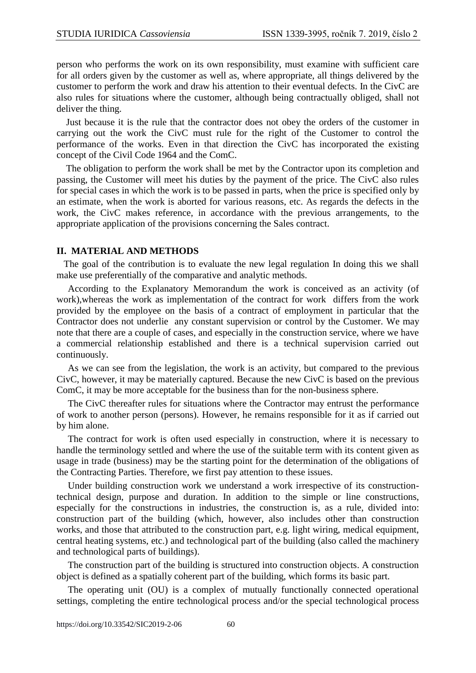person who performs the work on its own responsibility, must examine with sufficient care for all orders given by the customer as well as, where appropriate, all things delivered by the customer to perform the work and draw his attention to their eventual defects. In the CivC are also rules for situations where the customer, although being contractually obliged, shall not deliver the thing.

Just because it is the rule that the contractor does not obey the orders of the customer in carrying out the work the CivC must rule for the right of the Customer to control the performance of the works. Even in that direction the CivC has incorporated the existing concept of the Civil Code 1964 and the ComC.

The obligation to perform the work shall be met by the Contractor upon its completion and passing, the Customer will meet his duties by the payment of the price. The CivC also rules for special cases in which the work is to be passed in parts, when the price is specified only by an estimate, when the work is aborted for various reasons, etc. As regards the defects in the work, the CivC makes reference, in accordance with the previous arrangements, to the appropriate application of the provisions concerning the Sales contract.

#### **II. MATERIAL AND METHODS**

 The goal of the contribution is to evaluate the new legal regulation In doing this we shall make use preferentially of the comparative and analytic methods.

According to the Explanatory Memorandum the work is conceived as an activity (of work),whereas the work as implementation of the contract for work differs from the work provided by the employee on the basis of a contract of employment in particular that the Contractor does not underlie any constant supervision or control by the Customer. We may note that there are a couple of cases, and especially in the construction service, where we have a commercial relationship established and there is a technical supervision carried out continuously.

As we can see from the legislation, the work is an activity, but compared to the previous CivC, however, it may be materially captured. Because the new CivC is based on the previous ComC, it may be more acceptable for the business than for the non-business sphere.

The CivC thereafter rules for situations where the Contractor may entrust the performance of work to another person (persons). However, he remains responsible for it as if carried out by him alone.

The contract for work is often used especially in construction, where it is necessary to handle the terminology settled and where the use of the suitable term with its content given as usage in trade (business) may be the starting point for the determination of the obligations of the Contracting Parties. Therefore, we first pay attention to these issues.

Under building construction work we understand a work irrespective of its constructiontechnical design, purpose and duration. In addition to the simple or line constructions, especially for the constructions in industries, the construction is, as a rule, divided into: construction part of the building (which, however, also includes other than construction works, and those that attributed to the construction part, e.g. light wiring, medical equipment, central heating systems, etc.) and technological part of the building (also called the machinery and technological parts of buildings).

The construction part of the building is structured into construction objects. A construction object is defined as a spatially coherent part of the building, which forms its basic part.

The operating unit (OU) is a complex of mutually functionally connected operational settings, completing the entire technological process and/or the special technological process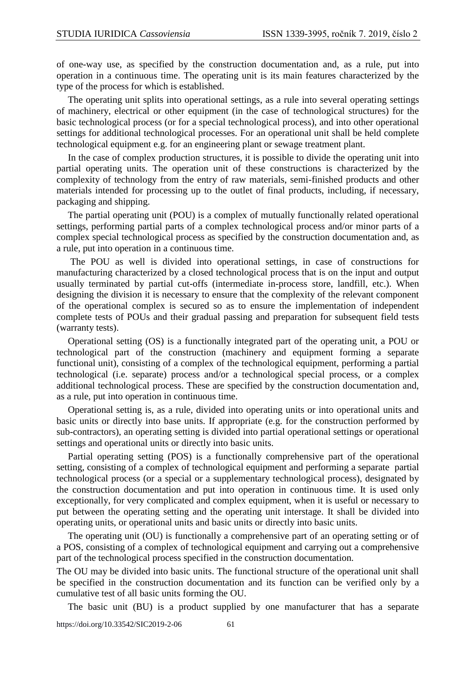of one-way use, as specified by the construction documentation and, as a rule, put into operation in a continuous time. The operating unit is its main features characterized by the type of the process for which is established.

The operating unit splits into operational settings, as a rule into several operating settings of machinery, electrical or other equipment (in the case of technological structures) for the basic technological process (or for a special technological process), and into other operational settings for additional technological processes. For an operational unit shall be held complete technological equipment e.g. for an engineering plant or sewage treatment plant.

In the case of complex production structures, it is possible to divide the operating unit into partial operating units. The operation unit of these constructions is characterized by the complexity of technology from the entry of raw materials, semi-finished products and other materials intended for processing up to the outlet of final products, including, if necessary, packaging and shipping.

 The partial operating unit (POU) is a complex of mutually functionally related operational settings, performing partial parts of a complex technological process and/or minor parts of a complex special technological process as specified by the construction documentation and, as a rule, put into operation in a continuous time.

 The POU as well is divided into operational settings, in case of constructions for manufacturing characterized by a closed technological process that is on the input and output usually terminated by partial cut-offs (intermediate in-process store, landfill, etc.). When designing the division it is necessary to ensure that the complexity of the relevant component of the operational complex is secured so as to ensure the implementation of independent complete tests of POUs and their gradual passing and preparation for subsequent field tests (warranty tests).

Operational setting (OS) is a functionally integrated part of the operating unit, a POU or technological part of the construction (machinery and equipment forming a separate functional unit), consisting of a complex of the technological equipment, performing a partial technological (i.e. separate) process and/or a technological special process, or a complex additional technological process. These are specified by the construction documentation and, as a rule, put into operation in continuous time.

Operational setting is, as a rule, divided into operating units or into operational units and basic units or directly into base units. If appropriate (e.g. for the construction performed by sub-contractors), an operating setting is divided into partial operational settings or operational settings and operational units or directly into basic units.

Partial operating setting (POS) is a functionally comprehensive part of the operational setting, consisting of a complex of technological equipment and performing a separate partial technological process (or a special or a supplementary technological process), designated by the construction documentation and put into operation in continuous time. It is used only exceptionally, for very complicated and complex equipment, when it is useful or necessary to put between the operating setting and the operating unit interstage. It shall be divided into operating units, or operational units and basic units or directly into basic units.

The operating unit (OU) is functionally a comprehensive part of an operating setting or of a POS, consisting of a complex of technological equipment and carrying out a comprehensive part of the technological process specified in the construction documentation.

The OU may be divided into basic units. The functional structure of the operational unit shall be specified in the construction documentation and its function can be verified only by a cumulative test of all basic units forming the OU.

The basic unit (BU) is a product supplied by one manufacturer that has a separate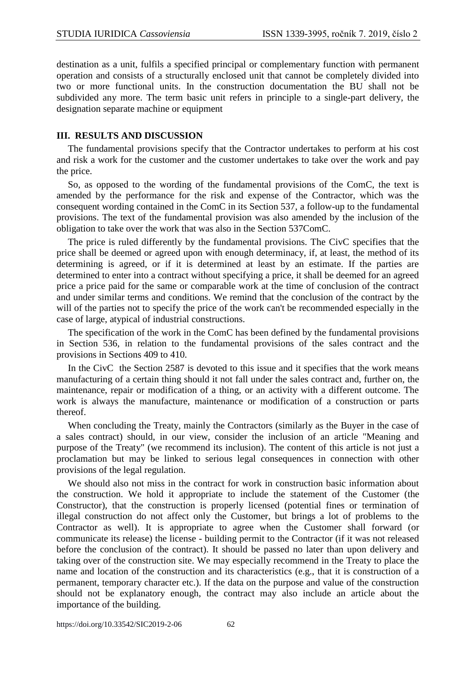destination as a unit, fulfils a specified principal or complementary function with permanent operation and consists of a structurally enclosed unit that cannot be completely divided into two or more functional units. In the construction documentation the BU shall not be subdivided any more. The term basic unit refers in principle to a single-part delivery, the designation separate machine or equipment

#### **III. RESULTS AND DISCUSSION**

The fundamental provisions specify that the Contractor undertakes to perform at his cost and risk a work for the customer and the customer undertakes to take over the work and pay the price.

So, as opposed to the wording of the fundamental provisions of the ComC, the text is amended by the performance for the risk and expense of the Contractor, which was the consequent wording contained in the ComC in its Section 537, a follow-up to the fundamental provisions. The text of the fundamental provision was also amended by the inclusion of the obligation to take over the work that was also in the Section 537ComC.

The price is ruled differently by the fundamental provisions. The CivC specifies that the price shall be deemed or agreed upon with enough determinacy, if, at least, the method of its determining is agreed, or if it is determined at least by an estimate. If the parties are determined to enter into a contract without specifying a price, it shall be deemed for an agreed price a price paid for the same or comparable work at the time of conclusion of the contract and under similar terms and conditions. We remind that the conclusion of the contract by the will of the parties not to specify the price of the work can't be recommended especially in the case of large, atypical of industrial constructions.

The specification of the work in the ComC has been defined by the fundamental provisions in Section 536, in relation to the fundamental provisions of the sales contract and the provisions in Sections 409 to 410.

In the CivC the Section 2587 is devoted to this issue and it specifies that the work means manufacturing of a certain thing should it not fall under the sales contract and, further on, the maintenance, repair or modification of a thing, or an activity with a different outcome. The work is always the manufacture, maintenance or modification of a construction or parts thereof.

When concluding the Treaty, mainly the Contractors (similarly as the Buyer in the case of a sales contract) should, in our view, consider the inclusion of an article "Meaning and purpose of the Treaty" (we recommend its inclusion). The content of this article is not just a proclamation but may be linked to serious legal consequences in connection with other provisions of the legal regulation.

We should also not miss in the contract for work in construction basic information about the construction. We hold it appropriate to include the statement of the Customer (the Constructor), that the construction is properly licensed (potential fines or termination of illegal construction do not affect only the Customer, but brings a lot of problems to the Contractor as well). It is appropriate to agree when the Customer shall forward (or communicate its release) the license - building permit to the Contractor (if it was not released before the conclusion of the contract). It should be passed no later than upon delivery and taking over of the construction site. We may especially recommend in the Treaty to place the name and location of the construction and its characteristics (e.g., that it is construction of a permanent, temporary character etc.). If the data on the purpose and value of the construction should not be explanatory enough, the contract may also include an article about the importance of the building.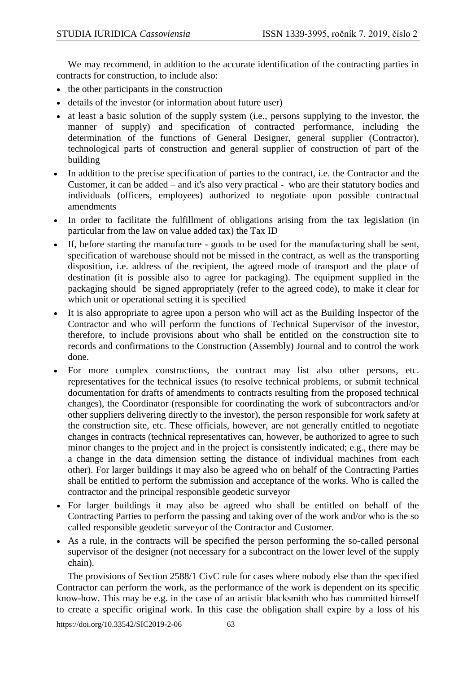We may recommend, in addition to the accurate identification of the contracting parties in contracts for construction, to include also:

- the other participants in the construction
- details of the investor (or information about future user)
- at least a basic solution of the supply system (i.e., persons supplying to the investor, the manner of supply) and specification of contracted performance, including the determination of the functions of General Designer, general supplier (Contractor), technological parts of construction and general supplier of construction of part of the building
- In addition to the precise specification of parties to the contract, i.e. the Contractor and the Customer, it can be added – and it's also very practical - who are their statutory bodies and individuals (officers, employees) authorized to negotiate upon possible contractual amendments
- In order to facilitate the fulfillment of obligations arising from the tax legislation (in particular from the law on value added tax) the Tax ID
- If, before starting the manufacture goods to be used for the manufacturing shall be sent, specification of warehouse should not be missed in the contract, as well as the transporting disposition, i.e. address of the recipient, the agreed mode of transport and the place of destination (it is possible also to agree for packaging). The equipment supplied in the packaging should be signed appropriately (refer to the agreed code), to make it clear for which unit or operational setting it is specified
- It is also appropriate to agree upon a person who will act as the Building Inspector of the Contractor and who will perform the functions of Technical Supervisor of the investor, therefore, to include provisions about who shall be entitled on the construction site to records and confirmations to the Construction (Assembly) Journal and to control the work done.
- For more complex constructions, the contract may list also other persons, etc. representatives for the technical issues (to resolve technical problems, or submit technical documentation for drafts of amendments to contracts resulting from the proposed technical changes), the Coordinator (responsible for coordinating the work of subcontractors and/or other suppliers delivering directly to the investor), the person responsible for work safety at the construction site, etc. These officials, however, are not generally entitled to negotiate changes in contracts (technical representatives can, however, be authorized to agree to such minor changes to the project and in the project is consistently indicated; e.g., there may be a change in the data dimension setting the distance of individual machines from each other). For larger buildings it may also be agreed who on behalf of the Contracting Parties shall be entitled to perform the submission and acceptance of the works. Who is called the contractor and the principal responsible geodetic surveyor
- For larger buildings it may also be agreed who shall be entitled on behalf of the Contracting Parties to perform the passing and taking over of the work and/or who is the so called responsible geodetic surveyor of the Contractor and Customer.
- As a rule, in the contracts will be specified the person performing the so-called personal supervisor of the designer (not necessary for a subcontract on the lower level of the supply chain).

The provisions of Section 2588/1 CivC rule for cases where nobody else than the specified Contractor can perform the work, as the performance of the work is dependent on its specific know-how. This may be e.g. in the case of an artistic blacksmith who has committed himself to create a specific original work. In this case the obligation shall expire by a loss of his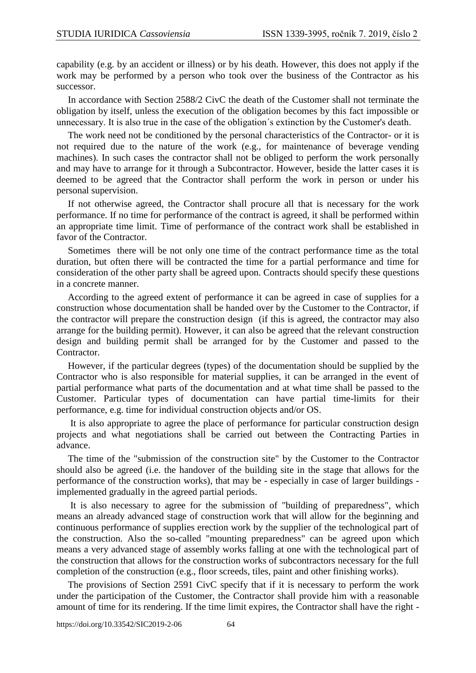capability (e.g. by an accident or illness) or by his death. However, this does not apply if the work may be performed by a person who took over the business of the Contractor as his successor.

In accordance with Section 2588/2 CivC the death of the Customer shall not terminate the obligation by itself, unless the execution of the obligation becomes by this fact impossible or unnecessary. It is also true in the case of the obligation´s extinction by the Customer's death.

The work need not be conditioned by the personal characteristics of the Contractor- or it is not required due to the nature of the work (e.g., for maintenance of beverage vending machines). In such cases the contractor shall not be obliged to perform the work personally and may have to arrange for it through a Subcontractor. However, beside the latter cases it is deemed to be agreed that the Contractor shall perform the work in person or under his personal supervision.

If not otherwise agreed, the Contractor shall procure all that is necessary for the work performance. If no time for performance of the contract is agreed, it shall be performed within an appropriate time limit. Time of performance of the contract work shall be established in favor of the Contractor.

Sometimes there will be not only one time of the contract performance time as the total duration, but often there will be contracted the time for a partial performance and time for consideration of the other party shall be agreed upon. Contracts should specify these questions in a concrete manner.

According to the agreed extent of performance it can be agreed in case of supplies for a construction whose documentation shall be handed over by the Customer to the Contractor, if the contractor will prepare the construction design (if this is agreed, the contractor may also arrange for the building permit). However, it can also be agreed that the relevant construction design and building permit shall be arranged for by the Customer and passed to the Contractor.

However, if the particular degrees (types) of the documentation should be supplied by the Contractor who is also responsible for material supplies, it can be arranged in the event of partial performance what parts of the documentation and at what time shall be passed to the Customer. Particular types of documentation can have partial time-limits for their performance, e.g. time for individual construction objects and/or OS.

It is also appropriate to agree the place of performance for particular construction design projects and what negotiations shall be carried out between the Contracting Parties in advance.

The time of the "submission of the construction site" by the Customer to the Contractor should also be agreed (i.e. the handover of the building site in the stage that allows for the performance of the construction works), that may be - especially in case of larger buildings implemented gradually in the agreed partial periods.

It is also necessary to agree for the submission of "building of preparedness", which means an already advanced stage of construction work that will allow for the beginning and continuous performance of supplies erection work by the supplier of the technological part of the construction. Also the so-called "mounting preparedness" can be agreed upon which means a very advanced stage of assembly works falling at one with the technological part of the construction that allows for the construction works of subcontractors necessary for the full completion of the construction (e.g., floor screeds, tiles, paint and other finishing works).

The provisions of Section 2591 CivC specify that if it is necessary to perform the work under the participation of the Customer, the Contractor shall provide him with a reasonable amount of time for its rendering. If the time limit expires, the Contractor shall have the right -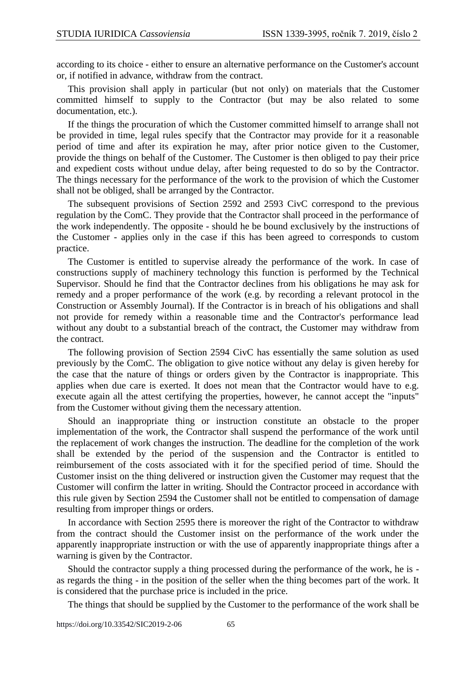according to its choice - either to ensure an alternative performance on the Customer's account or, if notified in advance, withdraw from the contract.

This provision shall apply in particular (but not only) on materials that the Customer committed himself to supply to the Contractor (but may be also related to some documentation, etc.).

If the things the procuration of which the Customer committed himself to arrange shall not be provided in time, legal rules specify that the Contractor may provide for it a reasonable period of time and after its expiration he may, after prior notice given to the Customer, provide the things on behalf of the Customer. The Customer is then obliged to pay their price and expedient costs without undue delay, after being requested to do so by the Contractor. The things necessary for the performance of the work to the provision of which the Customer shall not be obliged, shall be arranged by the Contractor.

The subsequent provisions of Section 2592 and 2593 CivC correspond to the previous regulation by the ComC. They provide that the Contractor shall proceed in the performance of the work independently. The opposite - should he be bound exclusively by the instructions of the Customer - applies only in the case if this has been agreed to corresponds to custom practice.

The Customer is entitled to supervise already the performance of the work. In case of constructions supply of machinery technology this function is performed by the Technical Supervisor. Should he find that the Contractor declines from his obligations he may ask for remedy and a proper performance of the work (e.g. by recording a relevant protocol in the Construction or Assembly Journal). If the Contractor is in breach of his obligations and shall not provide for remedy within a reasonable time and the Contractor's performance lead without any doubt to a substantial breach of the contract, the Customer may withdraw from the contract.

The following provision of Section 2594 CivC has essentially the same solution as used previously by the ComC. The obligation to give notice without any delay is given hereby for the case that the nature of things or orders given by the Contractor is inappropriate. This applies when due care is exerted. It does not mean that the Contractor would have to e.g. execute again all the attest certifying the properties, however, he cannot accept the "inputs" from the Customer without giving them the necessary attention.

Should an inappropriate thing or instruction constitute an obstacle to the proper implementation of the work, the Contractor shall suspend the performance of the work until the replacement of work changes the instruction. The deadline for the completion of the work shall be extended by the period of the suspension and the Contractor is entitled to reimbursement of the costs associated with it for the specified period of time. Should the Customer insist on the thing delivered or instruction given the Customer may request that the Customer will confirm the latter in writing. Should the Contractor proceed in accordance with this rule given by Section 2594 the Customer shall not be entitled to compensation of damage resulting from improper things or orders.

In accordance with Section 2595 there is moreover the right of the Contractor to withdraw from the contract should the Customer insist on the performance of the work under the apparently inappropriate instruction or with the use of apparently inappropriate things after a warning is given by the Contractor.

Should the contractor supply a thing processed during the performance of the work, he is as regards the thing - in the position of the seller when the thing becomes part of the work. It is considered that the purchase price is included in the price.

The things that should be supplied by the Customer to the performance of the work shall be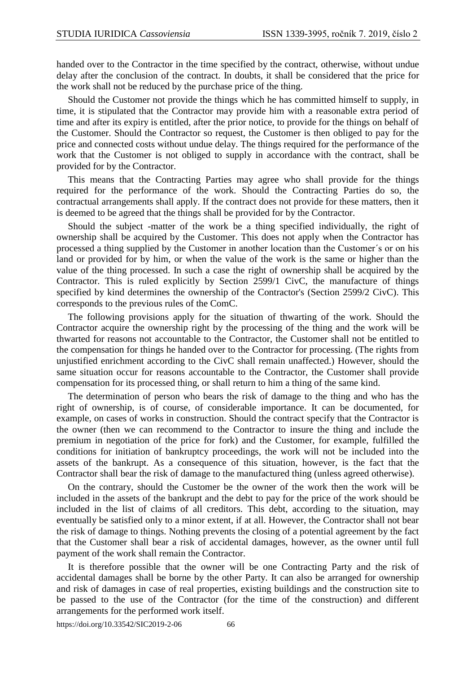handed over to the Contractor in the time specified by the contract, otherwise, without undue delay after the conclusion of the contract. In doubts, it shall be considered that the price for the work shall not be reduced by the purchase price of the thing.

Should the Customer not provide the things which he has committed himself to supply, in time, it is stipulated that the Contractor may provide him with a reasonable extra period of time and after its expiry is entitled, after the prior notice, to provide for the things on behalf of the Customer. Should the Contractor so request, the Customer is then obliged to pay for the price and connected costs without undue delay. The things required for the performance of the work that the Customer is not obliged to supply in accordance with the contract, shall be provided for by the Contractor.

This means that the Contracting Parties may agree who shall provide for the things required for the performance of the work. Should the Contracting Parties do so, the contractual arrangements shall apply. If the contract does not provide for these matters, then it is deemed to be agreed that the things shall be provided for by the Contractor.

Should the subject -matter of the work be a thing specified individually, the right of ownership shall be acquired by the Customer. This does not apply when the Contractor has processed a thing supplied by the Customer in another location than the Customer´s or on his land or provided for by him, or when the value of the work is the same or higher than the value of the thing processed. In such a case the right of ownership shall be acquired by the Contractor. This is ruled explicitly by Section 2599/1 CivC, the manufacture of things specified by kind determines the ownership of the Contractor's (Section 2599/2 CivC). This corresponds to the previous rules of the ComC.

The following provisions apply for the situation of thwarting of the work. Should the Contractor acquire the ownership right by the processing of the thing and the work will be thwarted for reasons not accountable to the Contractor, the Customer shall not be entitled to the compensation for things he handed over to the Contractor for processing. (The rights from unjustified enrichment according to the CivC shall remain unaffected.) However, should the same situation occur for reasons accountable to the Contractor, the Customer shall provide compensation for its processed thing, or shall return to him a thing of the same kind.

The determination of person who bears the risk of damage to the thing and who has the right of ownership, is of course, of considerable importance. It can be documented, for example, on cases of works in construction. Should the contract specify that the Contractor is the owner (then we can recommend to the Contractor to insure the thing and include the premium in negotiation of the price for fork) and the Customer, for example, fulfilled the conditions for initiation of bankruptcy proceedings, the work will not be included into the assets of the bankrupt. As a consequence of this situation, however, is the fact that the Contractor shall bear the risk of damage to the manufactured thing (unless agreed otherwise).

On the contrary, should the Customer be the owner of the work then the work will be included in the assets of the bankrupt and the debt to pay for the price of the work should be included in the list of claims of all creditors. This debt, according to the situation, may eventually be satisfied only to a minor extent, if at all. However, the Contractor shall not bear the risk of damage to things. Nothing prevents the closing of a potential agreement by the fact that the Customer shall bear a risk of accidental damages, however, as the owner until full payment of the work shall remain the Contractor.

 It is therefore possible that the owner will be one Contracting Party and the risk of accidental damages shall be borne by the other Party. It can also be arranged for ownership and risk of damages in case of real properties, existing buildings and the construction site to be passed to the use of the Contractor (for the time of the construction) and different arrangements for the performed work itself.

<https://doi.org/10.33542/SIC2019-2-06> 66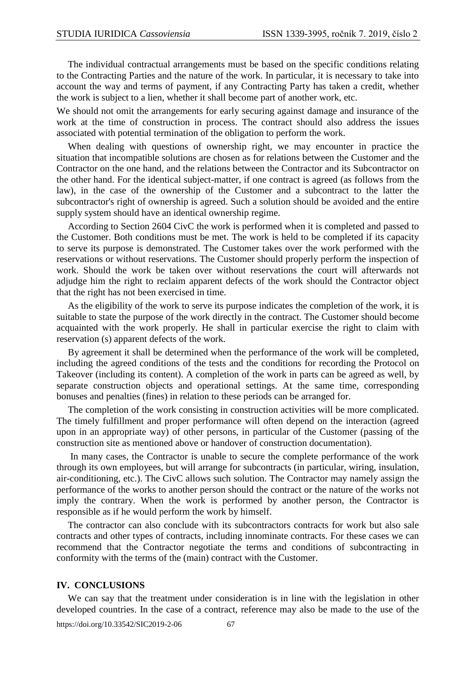The individual contractual arrangements must be based on the specific conditions relating to the Contracting Parties and the nature of the work. In particular, it is necessary to take into account the way and terms of payment, if any Contracting Party has taken a credit, whether the work is subject to a lien, whether it shall become part of another work, etc.

We should not omit the arrangements for early securing against damage and insurance of the work at the time of construction in process. The contract should also address the issues associated with potential termination of the obligation to perform the work.

When dealing with questions of ownership right, we may encounter in practice the situation that incompatible solutions are chosen as for relations between the Customer and the Contractor on the one hand, and the relations between the Contractor and its Subcontractor on the other hand. For the identical subject-matter, if one contract is agreed (as follows from the law), in the case of the ownership of the Customer and a subcontract to the latter the subcontractor's right of ownership is agreed. Such a solution should be avoided and the entire supply system should have an identical ownership regime.

According to Section 2604 CivC the work is performed when it is completed and passed to the Customer. Both conditions must be met. The work is held to be completed if its capacity to serve its purpose is demonstrated. The Customer takes over the work performed with the reservations or without reservations. The Customer should properly perform the inspection of work. Should the work be taken over without reservations the court will afterwards not adjudge him the right to reclaim apparent defects of the work should the Contractor object that the right has not been exercised in time.

As the eligibility of the work to serve its purpose indicates the completion of the work, it is suitable to state the purpose of the work directly in the contract. The Customer should become acquainted with the work properly. He shall in particular exercise the right to claim with reservation (s) apparent defects of the work.

By agreement it shall be determined when the performance of the work will be completed, including the agreed conditions of the tests and the conditions for recording the Protocol on Takeover (including its content). A completion of the work in parts can be agreed as well, by separate construction objects and operational settings. At the same time, corresponding bonuses and penalties (fines) in relation to these periods can be arranged for.

The completion of the work consisting in construction activities will be more complicated. The timely fulfillment and proper performance will often depend on the interaction (agreed upon in an appropriate way) of other persons, in particular of the Customer (passing of the construction site as mentioned above or handover of construction documentation).

In many cases, the Contractor is unable to secure the complete performance of the work through its own employees, but will arrange for subcontracts (in particular, wiring, insulation, air-conditioning, etc.). The CivC allows such solution. The Contractor may namely assign the performance of the works to another person should the contract or the nature of the works not imply the contrary. When the work is performed by another person, the Contractor is responsible as if he would perform the work by himself.

The contractor can also conclude with its subcontractors contracts for work but also sale contracts and other types of contracts, including innominate contracts. For these cases we can recommend that the Contractor negotiate the terms and conditions of subcontracting in conformity with the terms of the (main) contract with the Customer.

#### **IV. CONCLUSIONS**

We can say that the treatment under consideration is in line with the legislation in other developed countries. In the case of a contract, reference may also be made to the use of the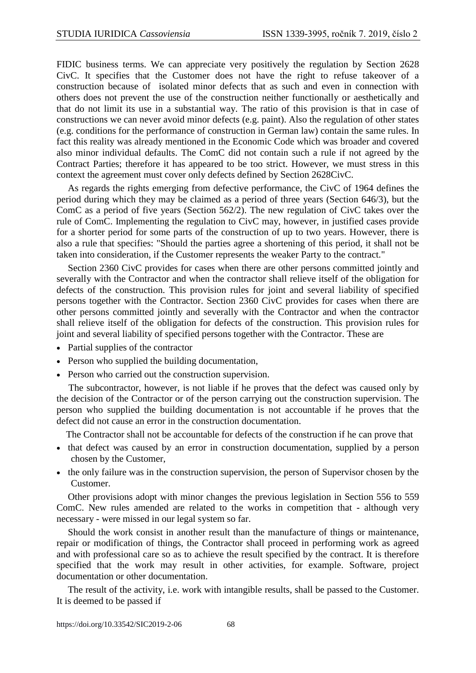FIDIC business terms. We can appreciate very positively the regulation by Section 2628 CivC. It specifies that the Customer does not have the right to refuse takeover of a construction because of isolated minor defects that as such and even in connection with others does not prevent the use of the construction neither functionally or aesthetically and that do not limit its use in a substantial way. The ratio of this provision is that in case of constructions we can never avoid minor defects (e.g. paint). Also the regulation of other states (e.g. conditions for the performance of construction in German law) contain the same rules. In fact this reality was already mentioned in the Economic Code which was broader and covered also minor individual defaults. The ComC did not contain such a rule if not agreed by the Contract Parties; therefore it has appeared to be too strict. However, we must stress in this context the agreement must cover only defects defined by Section 2628CivC.

As regards the rights emerging from defective performance, the CivC of 1964 defines the period during which they may be claimed as a period of three years (Section 646/3), but the ComC as a period of five years (Section 562/2). The new regulation of CivC takes over the rule of ComC. Implementing the regulation to CivC may, however, in justified cases provide for a shorter period for some parts of the construction of up to two years. However, there is also a rule that specifies: "Should the parties agree a shortening of this period, it shall not be taken into consideration, if the Customer represents the weaker Party to the contract."

Section 2360 CivC provides for cases when there are other persons committed jointly and severally with the Contractor and when the contractor shall relieve itself of the obligation for defects of the construction. This provision rules for joint and several liability of specified persons together with the Contractor. Section 2360 CivC provides for cases when there are other persons committed jointly and severally with the Contractor and when the contractor shall relieve itself of the obligation for defects of the construction. This provision rules for joint and several liability of specified persons together with the Contractor. These are

- Partial supplies of the contractor
- Person who supplied the building documentation,
- Person who carried out the construction supervision.

The subcontractor, however, is not liable if he proves that the defect was caused only by the decision of the Contractor or of the person carrying out the construction supervision. The person who supplied the building documentation is not accountable if he proves that the defect did not cause an error in the construction documentation.

The Contractor shall not be accountable for defects of the construction if he can prove that

- that defect was caused by an error in construction documentation, supplied by a person chosen by the Customer,
- the only failure was in the construction supervision, the person of Supervisor chosen by the Customer.

Other provisions adopt with minor changes the previous legislation in Section 556 to 559 ComC. New rules amended are related to the works in competition that - although very necessary - were missed in our legal system so far.

Should the work consist in another result than the manufacture of things or maintenance, repair or modification of things, the Contractor shall proceed in performing work as agreed and with professional care so as to achieve the result specified by the contract. It is therefore specified that the work may result in other activities, for example. Software, project documentation or other documentation.

The result of the activity, i.e. work with intangible results, shall be passed to the Customer. It is deemed to be passed if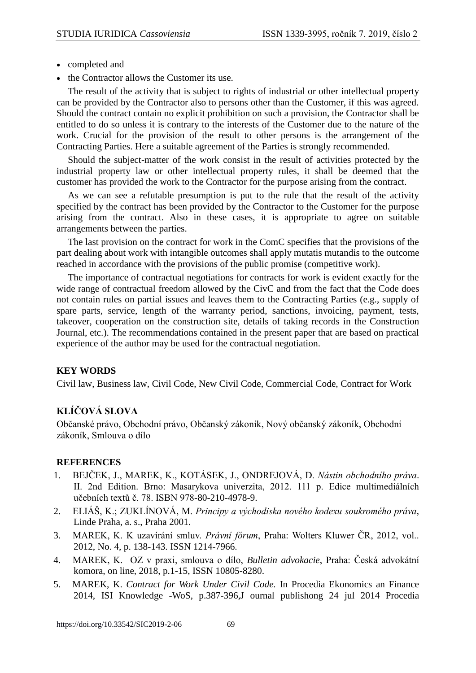- completed and
- the Contractor allows the Customer its use.

The result of the activity that is subject to rights of industrial or other intellectual property can be provided by the Contractor also to persons other than the Customer, if this was agreed. Should the contract contain no explicit prohibition on such a provision, the Contractor shall be entitled to do so unless it is contrary to the interests of the Customer due to the nature of the work. Crucial for the provision of the result to other persons is the arrangement of the Contracting Parties. Here a suitable agreement of the Parties is strongly recommended.

Should the subject-matter of the work consist in the result of activities protected by the industrial property law or other intellectual property rules, it shall be deemed that the customer has provided the work to the Contractor for the purpose arising from the contract.

As we can see a refutable presumption is put to the rule that the result of the activity specified by the contract has been provided by the Contractor to the Customer for the purpose arising from the contract. Also in these cases, it is appropriate to agree on suitable arrangements between the parties.

The last provision on the contract for work in the ComC specifies that the provisions of the part dealing about work with intangible outcomes shall apply mutatis mutandis to the outcome reached in accordance with the provisions of the public promise (competitive work).

The importance of contractual negotiations for contracts for work is evident exactly for the wide range of contractual freedom allowed by the CivC and from the fact that the Code does not contain rules on partial issues and leaves them to the Contracting Parties (e.g., supply of spare parts, service, length of the warranty period, sanctions, invoicing, payment, tests, takeover, cooperation on the construction site, details of taking records in the Construction Journal, etc.). The recommendations contained in the present paper that are based on practical experience of the author may be used for the contractual negotiation.

## **KEY WORDS**

Civil law, Business law, Civil Code, New Civil Code, Commercial Code, Contract for Work

# **KLÍČOVÁ SLOVA**

Občanské právo, Obchodní právo, Občanský zákoník, Nový občanský zákoník, Obchodní zákoník, Smlouva o dílo

## **REFERENCES**

- 1. BEJČEK, J., MAREK, K., KOTÁSEK, J., ONDREJOVÁ, D. *Nástin obchodního práva*. II. 2nd Edition. Brno: Masarykova univerzita, 2012. 111 p. Edice multimediálních učebních textů č. 78. ISBN 978-80-210-4978-9.
- 2. ELIÁŠ, K.; ZUKLÍNOVÁ, M. *Principy a východiska nového kodexu soukromého práva*, Linde Praha, a. s., Praha 2001.
- 3. MAREK, K. K uzavírání smluv. *Právní fórum*, Praha: Wolters Kluwer ČR, 2012, vol.. 2012, No. 4, p. 138-143. ISSN 1214-7966.
- 4. MAREK, K. OZ v praxi, smlouva o dílo, *Bulletin advokacie*, Praha: Česká advokátní komora, on line, 2018, p.1-15, ISSN 10805-8280.
- 5. MAREK, K. *Contract for Work Under Civil Code.* In Procedia Ekonomics an Finance 2014, ISI Knowledge -WoS, p.387-396,J ournal publishong 24 jul 2014 Procedia